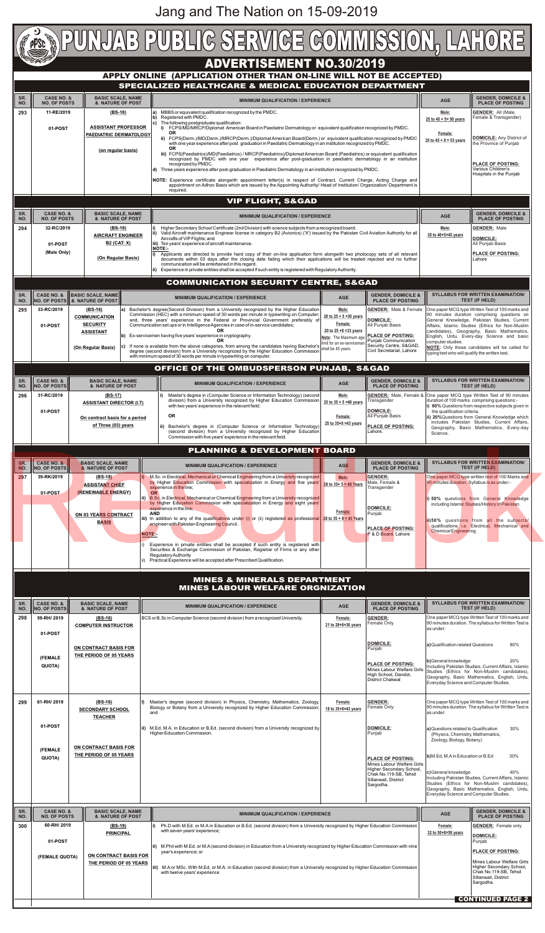**SR. NO.**

**SR. NO.**

|            |                                                       |                                                                                                |                                                                                                                  |  | <b>ADVERTISEMENT NO.30/2019</b>                                                                                                                                                                                                                                                                                                                                                                                                                                                                                                                                                                                                                 |                                                                                                                                               |                                                                                                                                                         |                                                                                                                                                                                                                                                                                                                                                                     |                                                                                                                                          |
|------------|-------------------------------------------------------|------------------------------------------------------------------------------------------------|------------------------------------------------------------------------------------------------------------------|--|-------------------------------------------------------------------------------------------------------------------------------------------------------------------------------------------------------------------------------------------------------------------------------------------------------------------------------------------------------------------------------------------------------------------------------------------------------------------------------------------------------------------------------------------------------------------------------------------------------------------------------------------------|-----------------------------------------------------------------------------------------------------------------------------------------------|---------------------------------------------------------------------------------------------------------------------------------------------------------|---------------------------------------------------------------------------------------------------------------------------------------------------------------------------------------------------------------------------------------------------------------------------------------------------------------------------------------------------------------------|------------------------------------------------------------------------------------------------------------------------------------------|
|            |                                                       |                                                                                                |                                                                                                                  |  | APPLY ONLINE (APPLICATION OTHER THAN ON-LINE WILL NOT BE ACCEPTED)<br>SPECIALIZED HEALTHCARE & MEDICAL EDUCATION DEPARTMENT                                                                                                                                                                                                                                                                                                                                                                                                                                                                                                                     |                                                                                                                                               |                                                                                                                                                         |                                                                                                                                                                                                                                                                                                                                                                     |                                                                                                                                          |
| SR.        | <b>CASE NO. &amp;</b>                                 | <b>BASIC SCALE, NAME</b>                                                                       |                                                                                                                  |  | <b>MINIMUM QUALIFICATION / EXPERIENCE</b>                                                                                                                                                                                                                                                                                                                                                                                                                                                                                                                                                                                                       |                                                                                                                                               |                                                                                                                                                         | <b>AGE</b>                                                                                                                                                                                                                                                                                                                                                          | <b>GENDER, DOMICILE &amp;</b>                                                                                                            |
| NO.<br>293 | <b>NO. OF POSTS</b><br>11-RE/2019                     |                                                                                                | & NATURE OF POST<br>(BS-18)<br><b>ASSISTANT PROFESSOR</b><br><b>PAEDIATRIC DERMATOLOGY</b><br>(on regular basis) |  | MBBS or equivalent qualification recognized by the PMDC.<br>Registered with PMDC.<br>The following postgraduate qualification:<br>FCPS/MD/MRCP/Diplomat American Board in Paediatric Dermatology or equivalent qualification recognized by PMDC.<br>i)<br><b>OR</b><br>ii) FCPS(Derm.)/MD(Derm.)/MRCP(Derm.)/Diplomat American Board(Derm.) or equivalent qualification recognized by PMDC                                                                                                                                                                                                                                                      |                                                                                                                                               |                                                                                                                                                         |                                                                                                                                                                                                                                                                                                                                                                     | <b>PLACE OF POSTING</b><br><b>GENDER: All (Male,</b><br>Female & Transgender)                                                            |
|            | 01-POST                                               |                                                                                                |                                                                                                                  |  |                                                                                                                                                                                                                                                                                                                                                                                                                                                                                                                                                                                                                                                 |                                                                                                                                               |                                                                                                                                                         |                                                                                                                                                                                                                                                                                                                                                                     | DOMICILE: Any District of                                                                                                                |
|            |                                                       |                                                                                                |                                                                                                                  |  | with one year experience after post graduation in Paediatric Dermatology in an institution recognized by PMDC.<br><b>OR</b><br>iii) FCPS(Paediatrics)/MD(Paediatrics) / MRCP(Paediatrics)/Diplomat American Board (Paediatrics) or equivalent qualification<br>recognized by PMDC with one year experience after post-graduation in paediatric dermatology in an institution                                                                                                                                                                                                                                                                    |                                                                                                                                               |                                                                                                                                                         |                                                                                                                                                                                                                                                                                                                                                                     | the Province of Punjab                                                                                                                   |
|            |                                                       |                                                                                                |                                                                                                                  |  | recognized by PMDC.<br>d) Three years experience after post-graduation in Paediatric Dermatology in an institution recognized by PMDC.                                                                                                                                                                                                                                                                                                                                                                                                                                                                                                          |                                                                                                                                               |                                                                                                                                                         |                                                                                                                                                                                                                                                                                                                                                                     | <b>PLACE OF POSTING:</b><br>Various Children's<br>Hospitals in the Punjab                                                                |
|            |                                                       |                                                                                                |                                                                                                                  |  | NOTE: Experience certificate alongwith appointment letter(s) in respect of Contract, Current Charge, Acting Charge and<br>appointment on Adhoc Basis which are issued by the Appointing Authority/ Head of Institution/ Organization/ Department is<br>required.                                                                                                                                                                                                                                                                                                                                                                                |                                                                                                                                               |                                                                                                                                                         |                                                                                                                                                                                                                                                                                                                                                                     |                                                                                                                                          |
|            |                                                       |                                                                                                |                                                                                                                  |  | <b>VIP FLIGHT, S&amp;GAD</b>                                                                                                                                                                                                                                                                                                                                                                                                                                                                                                                                                                                                                    |                                                                                                                                               |                                                                                                                                                         |                                                                                                                                                                                                                                                                                                                                                                     |                                                                                                                                          |
| SR.<br>NO. | <b>CASE NO. &amp;</b><br><b>NO. OF POSTS</b>          | <b>BASIC SCALE, NAME</b><br>& NATURE OF POST                                                   |                                                                                                                  |  | <b>MINIMUM QUALIFICATION / EXPERIENCE</b>                                                                                                                                                                                                                                                                                                                                                                                                                                                                                                                                                                                                       |                                                                                                                                               |                                                                                                                                                         | <b>AGE</b>                                                                                                                                                                                                                                                                                                                                                          | <b>GENDER, DOMICILE &amp;</b><br><b>PLACE OF POSTING</b>                                                                                 |
| 294        | 32-RC/2019                                            |                                                                                                | (BS-19)<br><b>AIRCRAFT ENGINEER</b><br><b>B2 (CAT: X)</b>                                                        |  | Higher Secondary School Certificate (2nd Division) with science subjects from a recognized board;<br>ii) Valid Aircraft maintenance Engineer license in category B2 (Avionics) ('X') issued by the Pakistan Civil Aviation Authority for all<br>Aircrafts of VIP Flights; and<br>iii) Ten years' experience of aircraft maintenance.                                                                                                                                                                                                                                                                                                            |                                                                                                                                               |                                                                                                                                                         |                                                                                                                                                                                                                                                                                                                                                                     | <b>GENDER: Male</b><br><b>DOMICILE:</b><br>All Punjab Basis                                                                              |
|            | 01-POST<br>(Male Only)                                |                                                                                                | (On Regular Basis)                                                                                               |  | <b>NOTE:-</b><br>Applicants are directed to provide hard copy of their on-line application form alongwith two photocopy sets of all relevant<br>documents within 03 days after the closing date failing which their applications will be treated rejected and no further<br>communication will be entertained in this regard.                                                                                                                                                                                                                                                                                                                   |                                                                                                                                               |                                                                                                                                                         |                                                                                                                                                                                                                                                                                                                                                                     | <b>PLACE OF POSTING:</b><br>Lahore                                                                                                       |
|            |                                                       |                                                                                                |                                                                                                                  |  | Experience in private entities shall be accepted if such entity is registered with Regulatory Authority.<br><b>COMMUNICATION SECURITY CENTRE, S&amp;GAD</b>                                                                                                                                                                                                                                                                                                                                                                                                                                                                                     |                                                                                                                                               |                                                                                                                                                         |                                                                                                                                                                                                                                                                                                                                                                     |                                                                                                                                          |
| SR.        | <b>CASE NO. &amp;</b>                                 | <b>BASIC SCALE, NAME</b>                                                                       |                                                                                                                  |  |                                                                                                                                                                                                                                                                                                                                                                                                                                                                                                                                                                                                                                                 |                                                                                                                                               | <b>GENDER, DOMICILE &amp;</b>                                                                                                                           |                                                                                                                                                                                                                                                                                                                                                                     | <b>SYLLABUS FOR WRITTEN EXAMINATION/</b>                                                                                                 |
| NO.        | 33-RC/2019                                            | NO. OF POSTS & NATURE OF POST                                                                  |                                                                                                                  |  | <b>MINIMUM QUALIFICATION / EXPERIENCE</b>                                                                                                                                                                                                                                                                                                                                                                                                                                                                                                                                                                                                       | <b>AGE</b><br>Male:                                                                                                                           | <b>PLACE OF POSTING</b><br><b>GENDER:</b> Male & Female                                                                                                 |                                                                                                                                                                                                                                                                                                                                                                     | <b>TEST (IF HELD)</b><br>One paper MCQ type Written Test of 100 marks and                                                                |
| 295        | 01-POST                                               | $(BS-16)$<br><b>COMMUNICATION</b><br><b>SECURITY</b><br><b>ASSISTANT</b><br>(On Regular Basis) |                                                                                                                  |  | Bachelor's degree(Second Division) from a University recognized by the Higher Education<br>Commission (HEC) with a minimum speed of 30 words per minute in typewriting on Computer;<br>and, three years' experience in the Federal or Provincial Government preferably of<br>Communication set ups or in Intelligence Agencies in case of in-service candidates;<br>OR.<br>Ex-servicemen having five years' experience in cryptography.<br><b>OR</b><br>If none is available from the above categories, from among the candidates having Bachelor's<br>degree (second division) from a University recognized by the Higher Education Commission | 20 to $25 + 5 = 30$ years<br>Female:<br>20 to $25 + 8 = 33$ years<br>Note: The Maximum age<br>imit for an ex-servicemar<br>shall be 45 years. | <b>DOMICILE:</b><br>All Punjab Basis<br><b>PLACE OF POSTING:</b><br><b>Puniab Communication</b><br>Security Centre, S&GAD,<br>Civil Secretariat, Lahore | 90 minutes duration comprising questions on<br>General Knowledge, Pakistan Studies, Current<br>Affairs, Islamic Studies (Ethics for Non-Muslim<br>candidates), Geography, Basic Mathematics,<br>English, Urdu, Every-day Science and basic<br>computer studies.<br>NOTE: Only those candidates will be called for<br>typing test who will qualify the written test. |                                                                                                                                          |
|            |                                                       |                                                                                                |                                                                                                                  |  | with minimum speed of 30 words per minute in typewriting on computer.<br>OFFICE OF THE OMBUDSPERSON PUNJAB, S&GAD                                                                                                                                                                                                                                                                                                                                                                                                                                                                                                                               |                                                                                                                                               |                                                                                                                                                         |                                                                                                                                                                                                                                                                                                                                                                     |                                                                                                                                          |
| SR.        | <b>CASE NO. &amp;</b>                                 |                                                                                                |                                                                                                                  |  |                                                                                                                                                                                                                                                                                                                                                                                                                                                                                                                                                                                                                                                 |                                                                                                                                               | <b>GENDER, DOMICILE &amp;</b>                                                                                                                           |                                                                                                                                                                                                                                                                                                                                                                     | <b>SYLLABUS FOR WRITTEN EXAMINATION/</b>                                                                                                 |
| NO.<br>296 | <b>NO. OF POSTS</b><br>31-RC/2019                     | $(BS-17)$                                                                                      | <b>BASIC SCALE, NAME</b><br>& NATURE OF POST                                                                     |  | <b>MINIMUM QUALIFICATION / EXPERIENCE</b><br>Master's degree in (Computer Science or Information Technology) (second                                                                                                                                                                                                                                                                                                                                                                                                                                                                                                                            | <b>AGE</b><br>Male:                                                                                                                           | <b>PLACE OF POSTING</b><br><b>GENDER:</b> Male, Female &                                                                                                |                                                                                                                                                                                                                                                                                                                                                                     | <b>TEST (IF HELD)</b><br>One paper MCQ type Written Test of 90 minutes                                                                   |
|            | 01-POST                                               | <b>ASSISTANT DIRECTOR (I.T)</b>                                                                |                                                                                                                  |  | division) from a University recognized by Higher Education Commission<br>with two years' experience in the relevant field;                                                                                                                                                                                                                                                                                                                                                                                                                                                                                                                      | Transgender<br>25 to $35 + 5 = 40$ years<br><b>DOMICILE:</b><br>Female:                                                                       |                                                                                                                                                         | duration of 100 marks comprising questions:-<br>i) 80% Questions from respective subjects given in<br>the qualification criteria.                                                                                                                                                                                                                                   |                                                                                                                                          |
|            | On contract basis for a period<br>of Three (03) years |                                                                                                |                                                                                                                  |  | <b>OR</b><br>25 to 35+8 =43 years<br>ii) Bachelor's degree in (Computer Science or Information Technology)<br>(second division) from a University recognized by Higher Education<br>Commission with five years' experience in the relevant field.                                                                                                                                                                                                                                                                                                                                                                                               |                                                                                                                                               | All Punjab Basis<br><b>PLACE OF POSTING:</b><br>Lahore.<br>Science.                                                                                     |                                                                                                                                                                                                                                                                                                                                                                     | ii) 20% Questions from General Knowledge which<br>includes Pakistan Studies, Current Affairs,<br>Geography, Basic Mathematics, Every-day |
|            |                                                       |                                                                                                |                                                                                                                  |  | <b>PLANNING &amp; DEVELOPMENT BOARD</b>                                                                                                                                                                                                                                                                                                                                                                                                                                                                                                                                                                                                         |                                                                                                                                               |                                                                                                                                                         |                                                                                                                                                                                                                                                                                                                                                                     |                                                                                                                                          |
| SR.        | <b>CASE NO. &amp;</b>                                 | <b>BASIC SCALE, NAME</b>                                                                       |                                                                                                                  |  |                                                                                                                                                                                                                                                                                                                                                                                                                                                                                                                                                                                                                                                 |                                                                                                                                               | <b>GENDER, DOMICILE &amp;</b>                                                                                                                           |                                                                                                                                                                                                                                                                                                                                                                     | <b>SYLLABUS FOR WRITTEN EXAMINATION/</b>                                                                                                 |
| NO.        | <b>NO. OF POSTS</b><br>39-RK/2019                     | & NATURE OF POST<br>$(BS-18)$                                                                  |                                                                                                                  |  | <b>MINIMUM QUALIFICATION / EXPERIENCE</b><br>M.Sc. in Electrical, Mechanical or Chemical Engineering from a University recognized<br>by Higher Education Commission with specialization in Energy and five years'                                                                                                                                                                                                                                                                                                                                                                                                                               | <b>AGE</b><br>Male:                                                                                                                           | <b>PLACE OF POSTING</b><br>GENDER:<br>Male, Female &                                                                                                    | 90 minutes duration. Syllabus is as under:-                                                                                                                                                                                                                                                                                                                         | <b>TEST (IF HELD)</b><br>One paper MCQ type written test of 100 Marks and                                                                |
| 297        |                                                       |                                                                                                | <b>ASSISTANT CHIEF</b><br>(RENEWABLE ENERGY)                                                                     |  | experience in the line;                                                                                                                                                                                                                                                                                                                                                                                                                                                                                                                                                                                                                         | 28 to $35 + 5 = 40$ Years                                                                                                                     | Transgender                                                                                                                                             |                                                                                                                                                                                                                                                                                                                                                                     | i) 50% questions from General Knowledge                                                                                                  |
|            | 01-POST                                               |                                                                                                | <b>OR</b>                                                                                                        |  | B.Sc. in Electrical, Mechanical or Chemical Engineering from a University recognized<br>by Higher Education Commission with specialization in Energy and eight years'                                                                                                                                                                                                                                                                                                                                                                                                                                                                           |                                                                                                                                               |                                                                                                                                                         |                                                                                                                                                                                                                                                                                                                                                                     | including Islamic Studies/History of Pakistan.                                                                                           |

|                                              |                                                        |  | Experience in private entities shall be accepted if such entity is registered with<br>Securities & Exchange Commission of Pakistan, Registrar of Firms or any other<br>Regulatory Authority<br>Practical Experience will be accepted after Prescribed Qualification. |                                |                                                                                                    |                                                                                                                        |                                                                                                                                                            |
|----------------------------------------------|--------------------------------------------------------|--|----------------------------------------------------------------------------------------------------------------------------------------------------------------------------------------------------------------------------------------------------------------------|--------------------------------|----------------------------------------------------------------------------------------------------|------------------------------------------------------------------------------------------------------------------------|------------------------------------------------------------------------------------------------------------------------------------------------------------|
|                                              |                                                        |  | <b>MINES &amp; MINERALS DEPARTMENT</b><br><b>MINES LABOUR WELFARE ORGNIZATION</b>                                                                                                                                                                                    |                                |                                                                                                    |                                                                                                                        |                                                                                                                                                            |
| <b>CASE NO. &amp;</b><br><b>NO. OF POSTS</b> | <b>BASIC SCALE, NAME</b><br>& NATURE OF POST           |  | <b>MINIMUM QUALIFICATION / EXPERIENCE</b>                                                                                                                                                                                                                            | <b>AGE</b>                     | <b>GENDER, DOMICILE &amp;</b><br><b>PLACE OF POSTING</b>                                           |                                                                                                                        | <b>SYLLABUS FOR WRITTEN EXAMINATION/</b><br><b>TEST (IF HELD)</b>                                                                                          |
| 59-RH/ 2019<br>01-POST                       | $(BS-16)$<br><b>COMPUTER INSTRUCTOR</b>                |  | BCS or B.Sc in Computer Science (second division) from a recognized University.                                                                                                                                                                                      | Female:<br>21 to 28+8=36 years | <b>GENDER:</b><br>Female Only                                                                      | One paper MCQ type Written Test of 100 marks and<br>90 minutes duration. The syllabus for Written Test is<br>as under: |                                                                                                                                                            |
|                                              | ON CONTRACT BASIS FOR<br>THE PERIOD OF 05 YEARS        |  |                                                                                                                                                                                                                                                                      |                                | <b>DOMICILE:</b><br>Punjab                                                                         | a) Qualification related Questions                                                                                     | 80%                                                                                                                                                        |
| (FEMALE<br>QUOTA)                            |                                                        |  |                                                                                                                                                                                                                                                                      |                                | <b>PLACE OF POSTING:</b><br>Mines Labour Welfare Girls<br>High School, Dandot,<br>District Chakwal | b) General knowledge<br>Everyday Science and Computer Studies.                                                         | 20%<br>Including Pakistan Studies, Current Affairs, Islamic<br>Studies (Ethics for Non-Muslim candidates),<br>Geography, Basic Mathematics, English, Urdu, |
| 61-RH/2019                                   | $(BS-16)$<br><b>SECONDARY SCHOOL</b><br><b>TEACHER</b> |  | Master's degree (second division) in Physics, Chemistry, Mathematics, Zoology,<br>Biology or Botany from a University recognized by Higher Education Commission;<br>and                                                                                              | Female:<br>18 to 35+8=43 years | <b>GENDER:</b><br>Female Only                                                                      | One paper MCQ type Written Test of 100 marks and<br>90 minutes duration. The syllabus for Written Test is<br>as under: |                                                                                                                                                            |
| 01-POST                                      |                                                        |  | ii) M.Ed, M.A. in Education or B.Ed. (second division) from a University recognized by<br>Higher Education Commission.                                                                                                                                               |                                | <b>DOMICILE:</b><br>Punjab                                                                         | a) Questions related to Qualification<br>30%<br>(Physics, Chemistry, Mathematics,<br>Zoology, Biology, Botany)         |                                                                                                                                                            |
| (FEMALE<br>QUOTA)                            | <b>ON CONTRACT BASIS FOR</b><br>THE PERIOD OF 05 YEARS |  |                                                                                                                                                                                                                                                                      |                                | <b>PLACE OF POSTING:</b><br>Mines Labour Welfare Girls                                             | b)M.Ed, M.Ain Education or B.Ed                                                                                        | 30%                                                                                                                                                        |
|                                              |                                                        |  |                                                                                                                                                                                                                                                                      |                                | Higher Secondary School,<br>Chak No.119-SB, Tehsil<br>Sillanwali, District<br>Sargodha.            | c) General knowledge<br>Everyday Science and Computer Studies.                                                         | 40%<br>Including Pakistan Studies, Current Affairs, Islamic<br>Studies (Ethics for Non-Muslim candidates),<br>Geography, Basic Mathematics, English, Urdu, |
| <b>CASE NO. &amp;</b><br><b>NO. OF POSTS</b> | <b>BASIC SCALE, NAME</b><br>& NATURE OF POST           |  | <b>MINIMUM QUALIFICATION / EXPERIENCE</b>                                                                                                                                                                                                                            | AGE                            | <b>GENDER, DOMICILE &amp;</b><br><b>PLACE OF POSTING</b>                                           |                                                                                                                        |                                                                                                                                                            |
| 60-RH/2019<br>01-POST                        | $(BS-19)$<br><b>PRINCIPAL</b>                          |  | Ph.D with M.Ed. or M.A in Education or B.Ed, (second division) from a University recognized by Higher Education Commission<br>with seven years' experience;                                                                                                          | Female:<br>32 to 50+8=58 years | <b>GENDER:</b> Female only<br><b>DOMICILE:</b><br>Punjab                                           |                                                                                                                        |                                                                                                                                                            |
| (FEMALE QUOTA)                               | ON CONTRACT BASIS FOR                                  |  | ii) M.Phil with M.Ed. or M.A (second division) in Education from a University recognized by Higher Education Commission with nine<br>year's experience; or                                                                                                           |                                |                                                                                                    | <b>PLACE OF POSTING:</b>                                                                                               |                                                                                                                                                            |
|                                              | THE PERIOD OF 05 YEARS                                 |  | iii) M.A or MSc. With M.Ed, or M.A. in Education (second division) from a University recognized by Higher Education Commission<br>with twelve years' experience                                                                                                      |                                |                                                                                                    | Mines Labour Welfare Girls<br>Higher Secondary School,<br>Chak No.119-SB, Tehsil<br>Sillanwali, District<br>Sargodha.  |                                                                                                                                                            |
|                                              |                                                        |  |                                                                                                                                                                                                                                                                      |                                |                                                                                                    |                                                                                                                        | <b>CONTINUED PAGE 2</b>                                                                                                                                    |
|                                              |                                                        |  |                                                                                                                                                                                                                                                                      |                                |                                                                                                    |                                                                                                                        |                                                                                                                                                            |

**300**

**298**

**299**

Jang and The Nation on 15-09-2019